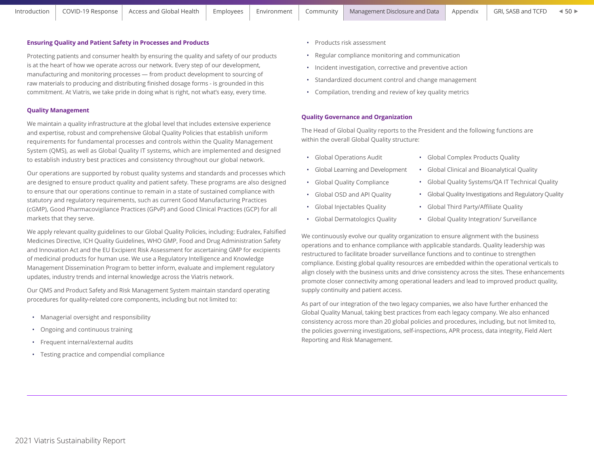## **Ensuring Quality and Patient Safety in Processes and Products**

Protecting patients and consumer health by ensuring the quality and safety of our products is at the heart of how we operate across our network. Every step of our development, manufacturing and monitoring processes — from product development to sourcing of raw materials to producing and distributing finished dosage forms - is grounded in this commitment. At Viatris, we take pride in doing what is right, not what's easy, every time.

### **Quality Management**

We maintain a quality infrastructure at the global level that includes extensive experience and expertise, robust and comprehensive Global Quality Policies that establish uniform requirements for fundamental processes and controls within the Quality Management System (QMS), as well as Global Quality IT systems, which are implemented and designed to establish industry best practices and consistency throughout our global network.

Our operations are supported by robust quality systems and standards and processes which are designed to ensure product quality and patient safety. These programs are also designed to ensure that our operations continue to remain in a state of sustained compliance with statutory and regulatory requirements, such as current Good Manufacturing Practices (cGMP), Good Pharmacovigilance Practices (GPvP) and Good Clinical Practices (GCP) for all markets that they serve.

We apply relevant quality guidelines to our Global Quality Policies, including: Eudralex, Falsified Medicines Directive, ICH Quality Guidelines, WHO GMP, Food and Drug Administration Safety and Innovation Act and the EU Excipient Risk Assessment for ascertaining GMP for excipients of medicinal products for human use. We use a Regulatory Intelligence and Knowledge Management Dissemination Program to better inform, evaluate and implement regulatory updates, industry trends and internal knowledge across the Viatris network.

Our QMS and Product Safety and Risk Management System maintain standard operating procedures for quality-related core components, including but not limited to:

- Managerial oversight and responsibility
- Ongoing and continuous training
- Frequent internal/external audits
- Testing practice and compendial compliance
- Products risk assessment
- Regular compliance monitoring and communication
- Incident investigation, corrective and preventive action
- Standardized document control and change management
- Compilation, trending and review of key quality metrics

#### **Quality Governance and Organization**

The Head of Global Quality reports to the President and the following functions are within the overall Global Quality structure:

- Global Operations Audit
- Global Learning and Development
- Global Quality Compliance
- Global OSD and API Quality
- Global Injectables Quality
- Global Dermatologics Quality
- Global Complex Products Quality
- Global Clinical and Bioanalytical Quality
- Global Quality Systems/QA IT Technical Quality
- Global Quality Investigations and Regulatory Quality
- Global Third Party/Affiliate Quality
- Global Quality Integration/ Surveillance

We continuously evolve our quality organization to ensure alignment with the business operations and to enhance compliance with applicable standards. Quality leadership was restructured to facilitate broader surveillance functions and to continue to strengthen compliance. Existing global quality resources are embedded within the operational verticals to align closely with the business units and drive consistency across the sites. These enhancements promote closer connectivity among operational leaders and lead to improved product quality, supply continuity and patient access.

As part of our integration of the two legacy companies, we also have further enhanced the Global Quality Manual, taking best practices from each legacy company. We also enhanced consistency across more than 20 global policies and procedures, including, but not limited to, the policies governing investigations, self-inspections, APR process, data integrity, Field Alert Reporting and Risk Management.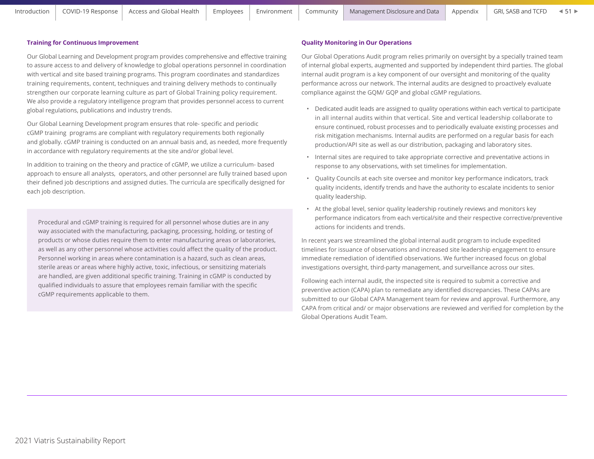## **Training for Continuous Improvement**

Our Global Learning and Development program provides comprehensive and effective training to assure access to and delivery of knowledge to global operations personnel in coordination with vertical and site based training programs. This program coordinates and standardizes training requirements, content, techniques and training delivery methods to continually strengthen our corporate learning culture as part of Global Training policy requirement. We also provide a regulatory intelligence program that provides personnel access to current global regulations, publications and industry trends.

Our Global Learning Development program ensures that role- specific and periodic cGMP training programs are compliant with regulatory requirements both regionally and globally. cGMP training is conducted on an annual basis and, as needed, more frequently in accordance with regulatory requirements at the site and/or global level.

In addition to training on the theory and practice of cGMP, we utilize a curriculum- based approach to ensure all analysts, operators, and other personnel are fully trained based upon their defined job descriptions and assigned duties. The curricula are specifically designed for each job description.

Procedural and cGMP training is required for all personnel whose duties are in any way associated with the manufacturing, packaging, processing, holding, or testing of products or whose duties require them to enter manufacturing areas or laboratories, as well as any other personnel whose activities could affect the quality of the product. Personnel working in areas where contamination is a hazard, such as clean areas, sterile areas or areas where highly active, toxic, infectious, or sensitizing materials are handled, are given additional specific training. Training in cGMP is conducted by qualified individuals to assure that employees remain familiar with the specific cGMP requirements applicable to them.

## **Quality Monitoring in Our Operations**

Our Global Operations Audit program relies primarily on oversight by a specially trained team of internal global experts, augmented and supported by independent third parties. The global internal audit program is a key component of our oversight and monitoring of the quality performance across our network. The internal audits are designed to proactively evaluate compliance against the GQM/ GQP and global cGMP regulations.

- Dedicated audit leads are assigned to quality operations within each vertical to participate in all internal audits within that vertical. Site and vertical leadership collaborate to ensure continued, robust processes and to periodically evaluate existing processes and risk mitigation mechanisms. Internal audits are performed on a regular basis for each production/API site as well as our distribution, packaging and laboratory sites.
- Internal sites are required to take appropriate corrective and preventative actions in response to any observations, with set timelines for implementation.
- Quality Councils at each site oversee and monitor key performance indicators, track quality incidents, identify trends and have the authority to escalate incidents to senior quality leadership.
- At the global level, senior quality leadership routinely reviews and monitors key performance indicators from each vertical/site and their respective corrective/preventive actions for incidents and trends.

In recent years we streamlined the global internal audit program to include expedited timelines for issuance of observations and increased site leadership engagement to ensure immediate remediation of identified observations. We further increased focus on global investigations oversight, third-party management, and surveillance across our sites.

Following each internal audit, the inspected site is required to submit a corrective and preventive action (CAPA) plan to remediate any identified discrepancies. These CAPAs are submitted to our Global CAPA Management team for review and approval. Furthermore, any CAPA from critical and/ or major observations are reviewed and verified for completion by the Global Operations Audit Team.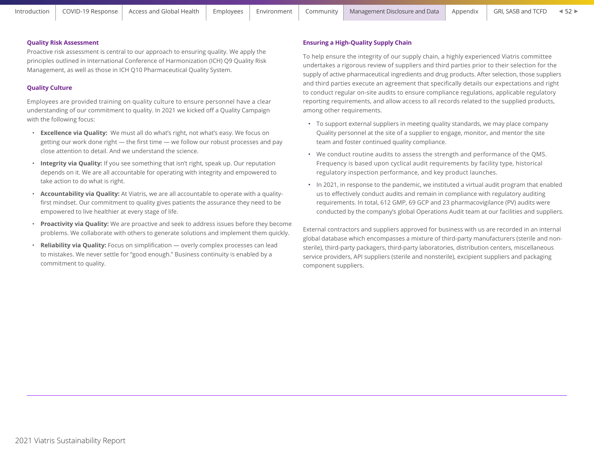### **Quality Risk Assessment**

Proactive risk assessment is central to our approach to ensuring quality. We apply the principles outlined in International Conference of Harmonization (ICH) Q9 Quality Risk Management, as well as those in ICH Q10 Pharmaceutical Quality System.

## **Quality Culture**

Employees are provided training on quality culture to ensure personnel have a clear understanding of our commitment to quality. In 2021 we kicked off a Quality Campaign with the following focus:

- **Excellence via Quality:** We must all do what's right, not what's easy. We focus on getting our work done right — the first time — we follow our robust processes and pay close attention to detail. And we understand the science.
- **Integrity via Quality:** If you see something that isn't right, speak up. Our reputation depends on it. We are all accountable for operating with integrity and empowered to take action to do what is right.
- **Accountability via Quality:** At Viatris, we are all accountable to operate with a qualityfirst mindset. Our commitment to quality gives patients the assurance they need to be empowered to live healthier at every stage of life.
- **Proactivity via Quality:** We are proactive and seek to address issues before they become problems. We collaborate with others to generate solutions and implement them quickly.
- **Reliability via Quality:** Focus on simplification overly complex processes can lead to mistakes. We never settle for "good enough." Business continuity is enabled by a commitment to quality.

### **Ensuring a High-Quality Supply Chain**

To help ensure the integrity of our supply chain, a highly experienced Viatris committee undertakes a rigorous review of suppliers and third parties prior to their selection for the supply of active pharmaceutical ingredients and drug products. After selection, those suppliers and third parties execute an agreement that specifically details our expectations and right to conduct regular on-site audits to ensure compliance regulations, applicable regulatory reporting requirements, and allow access to all records related to the supplied products, among other requirements.

- To support external suppliers in meeting quality standards, we may place company Quality personnel at the site of a supplier to engage, monitor, and mentor the site team and foster continued quality compliance.
- We conduct routine audits to assess the strength and performance of the QMS. Frequency is based upon cyclical audit requirements by facility type, historical regulatory inspection performance, and key product launches.
- In 2021, in response to the pandemic, we instituted a virtual audit program that enabled us to effectively conduct audits and remain in compliance with regulatory auditing requirements. In total, 612 GMP, 69 GCP and 23 pharmacovigilance (PV) audits were conducted by the company's global Operations Audit team at our facilities and suppliers.

External contractors and suppliers approved for business with us are recorded in an internal global database which encompasses a mixture of third-party manufacturers (sterile and nonsterile), third-party packagers, third-party laboratories, distribution centers, miscellaneous service providers, API suppliers (sterile and nonsterile), excipient suppliers and packaging component suppliers.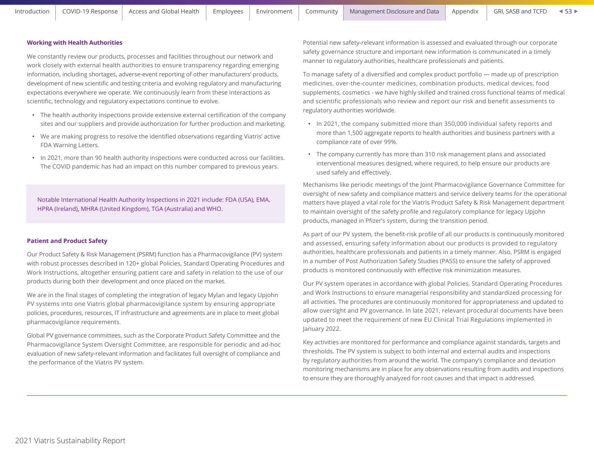### **Working with Health Authorities**

We constantly review our products, processes and facilities throughout our network and work closely with external health authorities to ensure transparency regarding emerging information, including shortages, adverse-event reporting of other manufacturers' products, development of new scientific and testing criteria and evolving regulatory and manufacturing expectations everywhere we operate. We continuously learn from these interactions as scientific, technology and regulatory expectations continue to evolve.

- The health authority inspections provide extensive external certification of the company sites and our suppliers and provide authorization for further production and marketing.
- We are making progress to resolve the identified observations regarding Viatris' active FDA Warning Letters.
- In 2021, more than 90 health authority inspections were conducted across our facilities. The COVID pandemic has had an impact on this number compared to previous years.

Notable International Health Authority Inspections in 2021 include: FDA (USA), EMA, HPRA (Ireland), MHRA (United Kingdom), TGA (Australia) and WHO.

### **Patient and Product Safety**

Our Product Safety & Risk Management (PSRM) function has a Pharmacovigilance (PV) system with robust processes described in 120+ global Policies, Standard Operating Procedures and Work Instructions, altogether ensuring patient care and safety in relation to the use of our products during both their development and once placed on the market.

We are in the final stages of completing the integration of legacy Mylan and legacy Upjohn PV systems into one Viatris global pharmacovigilance system by ensuring appropriate policies, procedures, resources, IT infrastructure and agreements are in place to meet global pharmacovigilance requirements.

Global PV governance committees, such as the Corporate Product Safety Committee and the Pharmacovigilance System Oversight Committee, are responsible for periodic and ad-hoc evaluation of new safety-relevant information and facilitates full oversight of compliance and the performance of the Viatris PV system.

Potential new safety-relevant information is assessed and evaluated through our corporate safety governance structure and important new information is communicated in a timely manner to regulatory authorities, healthcare professionals and patients.

To manage safety of a diversified and complex product portfolio — made up of prescription medicines, over-the-counter medicines, combination products, medical devices, food supplements, cosmetics - we have highly skilled and trained cross functional teams of medical and scientific professionals who review and report our risk and benefit assessments to regulatory authorities worldwide.

- In 2021, the company submitted more than 350,000 individual safety reports and more than 1,500 aggregate reports to health authorities and business partners with a compliance rate of over 99%.
- The company currently has more than 310 risk management plans and associated interventional measures designed, where required, to help ensure our products are used safely and effectively.

Mechanisms like periodic meetings of the Joint Pharmacovigilance Governance Committee for oversight of new safety and compliance matters and service delivery teams for the operational matters have played a vital role for the Viatris Product Safety & Risk Management department to maintain oversight of the safety profile and regulatory compliance for legacy Upjohn products, managed in Pfizer's system, during the transition period.

As part of our PV system, the benefit-risk profile of all our products is continuously monitored and assessed, ensuring safety information about our products is provided to regulatory authorities, healthcare professionals and patients in a timely manner. Also, PSRM is engaged in a number of Post Authorization Safety Studies (PASS) to ensure the safety of approved products is monitored continuously with effective risk minimization measures.

Our PV system operates in accordance with global Policies, Standard Operating Procedures and Work Instructions to ensure managerial responsibility and standardized processing for all activities. The procedures are continuously monitored for appropriateness and updated to allow oversight and PV governance. In late 2021, relevant procedural documents have been updated to meet the requirement of new EU Clinical Trial Regulations implemented in January 2022.

Key activities are monitored for performance and compliance against standards, targets and thresholds. The PV system is subject to both internal and external audits and inspections by regulatory authorities from around the world. The company's compliance and deviation monitoring mechanisms are in place for any observations resulting from audits and inspections to ensure they are thoroughly analyzed for root causes and that impact is addressed.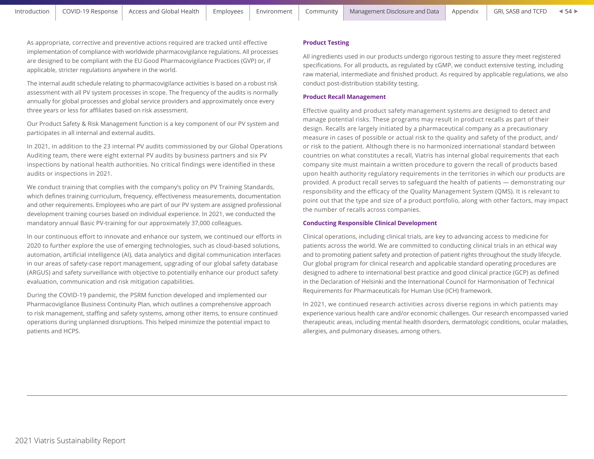As appropriate, corrective and preventive actions required are tracked until effective implementation of compliance with worldwide pharmacovigilance regulations. All processes are designed to be compliant with the EU Good Pharmacovigilance Practices (GVP) or, if applicable, stricter regulations anywhere in the world.

The internal audit schedule relating to pharmacovigilance activities is based on a robust risk assessment with all PV system processes in scope. The frequency of the audits is normally annually for global processes and global service providers and approximately once every three years or less for affiliates based on risk assessment.

Our Product Safety & Risk Management function is a key component of our PV system and participates in all internal and external audits.

In 2021, in addition to the 23 internal PV audits commissioned by our Global Operations Auditing team, there were eight external PV audits by business partners and six PV inspections by national health authorities. No critical findings were identified in these audits or inspections in 2021.

We conduct training that complies with the company's policy on PV Training Standards, which defines training curriculum, frequency, effectiveness measurements, documentation and other requirements. Employees who are part of our PV system are assigned professional development training courses based on individual experience. In 2021, we conducted the mandatory annual Basic PV-training for our approximately 37,000 colleagues.

In our continuous effort to innovate and enhance our system, we continued our efforts in 2020 to further explore the use of emerging technologies, such as cloud-based solutions, automation, artificial intelligence (AI), data analytics and digital communication interfaces in our areas of safety-case report management, upgrading of our global safety database (ARGUS) and safety surveillance with objective to potentially enhance our product safety evaluation, communication and risk mitigation capabilities.

During the COVID-19 pandemic, the PSRM function developed and implemented our Pharmacovigilance Business Continuity Plan, which outlines a comprehensive approach to risk management, staffing and safety systems, among other items, to ensure continued operations during unplanned disruptions. This helped minimize the potential impact to patients and HCPS.

# **Product Testing**

All ingredients used in our products undergo rigorous testing to assure they meet registered specifications. For all products, as regulated by cGMP, we conduct extensive testing, including raw material, intermediate and finished product. As required by applicable regulations, we also conduct post-distribution stability testing.

## **Product Recall Management**

Effective quality and product safety management systems are designed to detect and manage potential risks. These programs may result in product recalls as part of their design. Recalls are largely initiated by a pharmaceutical company as a precautionary measure in cases of possible or actual risk to the quality and safety of the product, and/ or risk to the patient. Although there is no harmonized international standard between countries on what constitutes a recall, Viatris has internal global requirements that each company site must maintain a written procedure to govern the recall of products based upon health authority regulatory requirements in the territories in which our products are provided. A product recall serves to safeguard the health of patients — demonstrating our responsibility and the efficacy of the Quality Management System (QMS). It is relevant to point out that the type and size of a product portfolio, along with other factors, may impact the number of recalls across companies.

# **Conducting Responsible Clinical Development**

Clinical operations, including clinical trials, are key to advancing access to medicine for patients across the world. We are committed to conducting clinical trials in an ethical way and to promoting patient safety and protection of patient rights throughout the study lifecycle. Our global program for clinical research and applicable standard operating procedures are designed to adhere to international best practice and good clinical practice (GCP) as defined in the Declaration of Helsinki and the International Council for Harmonisation of Technical Requirements for Pharmaceuticals for Human Use (ICH) framework.

In 2021, we continued research activities across diverse regions in which patients may experience various health care and/or economic challenges. Our research encompassed varied therapeutic areas, including mental health disorders, dermatologic conditions, ocular maladies, allergies, and pulmonary diseases, among others.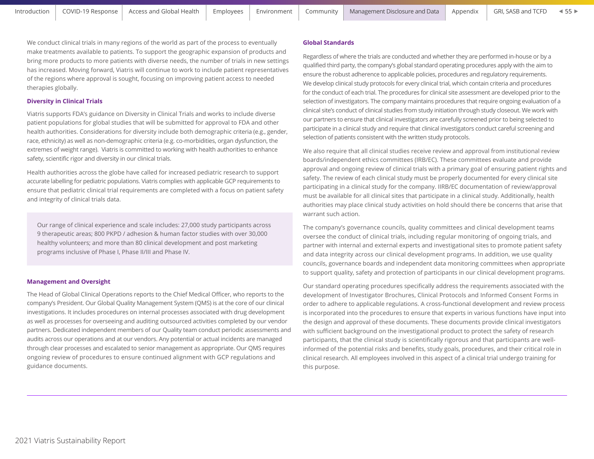We conduct clinical trials in many regions of the world as part of the process to eventually make treatments available to patients. To support the geographic expansion of products and bring more products to more patients with diverse needs, the number of trials in new settings has increased. Moving forward, Viatris will continue to work to include patient representatives of the regions where approval is sought, focusing on improving patient access to needed therapies globally.

# **Diversity in Clinical Trials**

Viatris supports FDA's guidance on Diversity in Clinical Trials and works to include diverse patient populations for global studies that will be submitted for approval to FDA and other health authorities. Considerations for diversity include both demographic criteria (e.g., gender, race, ethnicity) as well as non-demographic criteria (e.g. co-morbidities, organ dysfunction, the extremes of weight range). Viatris is committed to working with health authorities to enhance safety, scientific rigor and diversity in our clinical trials.

Health authorities across the globe have called for increased pediatric research to support accurate labelling for pediatric populations. Viatris complies with applicable GCP requirements to ensure that pediatric clinical trial requirements are completed with a focus on patient safety and integrity of clinical trials data.

Our range of clinical experience and scale includes: 27,000 study participants across 9 therapeutic areas; 800 PKPD / adhesion & human factor studies with over 30,000 healthy volunteers; and more than 80 clinical development and post marketing programs inclusive of Phase I, Phase II/III and Phase IV.

# **Management and Oversight**

The Head of Global Clinical Operations reports to the Chief Medical Officer, who reports to the company's President. Our Global Quality Management System (QMS) is at the core of our clinical investigations. It includes procedures on internal processes associated with drug development as well as processes for overseeing and auditing outsourced activities completed by our vendor partners. Dedicated independent members of our Quality team conduct periodic assessments and audits across our operations and at our vendors. Any potential or actual incidents are managed through clear processes and escalated to senior management as appropriate. Our QMS requires ongoing review of procedures to ensure continued alignment with GCP regulations and guidance documents.

### **Global Standards**

Regardless of where the trials are conducted and whether they are performed in-house or by a qualified third party, the company's global standard operating procedures apply with the aim to ensure the robust adherence to applicable policies, procedures and regulatory requirements. We develop clinical study protocols for every clinical trial, which contain criteria and procedures for the conduct of each trial. The procedures for clinical site assessment are developed prior to the selection of investigators. The company maintains procedures that require ongoing evaluation of a clinical site's conduct of clinical studies from study initiation through study closeout. We work with our partners to ensure that clinical investigators are carefully screened prior to being selected to participate in a clinical study and require that clinical investigators conduct careful screening and selection of patients consistent with the written study protocols.

We also require that all clinical studies receive review and approval from institutional review boards/independent ethics committees (IRB/EC). These committees evaluate and provide approval and ongoing review of clinical trials with a primary goal of ensuring patient rights and safety. The review of each clinical study must be properly documented for every clinical site participating in a clinical study for the company. IIRB/EC documentation of review/approval must be available for all clinical sites that participate in a clinical study. Additionally, health authorities may place clinical study activities on hold should there be concerns that arise that warrant such action.

The company's governance councils, quality committees and clinical development teams oversee the conduct of clinical trials, including regular monitoring of ongoing trials, and partner with internal and external experts and investigational sites to promote patient safety and data integrity across our clinical development programs. In addition, we use quality councils, governance boards and independent data monitoring committees when appropriate to support quality, safety and protection of participants in our clinical development programs.

Our standard operating procedures specifically address the requirements associated with the development of Investigator Brochures, Clinical Protocols and Informed Consent Forms in order to adhere to applicable regulations. A cross-functional development and review process is incorporated into the procedures to ensure that experts in various functions have input into the design and approval of these documents. These documents provide clinical investigators with sufficient background on the investigational product to protect the safety of research participants, that the clinical study is scientifically rigorous and that participants are wellinformed of the potential risks and benefits, study goals, procedures, and their critical role in clinical research. All employees involved in this aspect of a clinical trial undergo training for this purpose.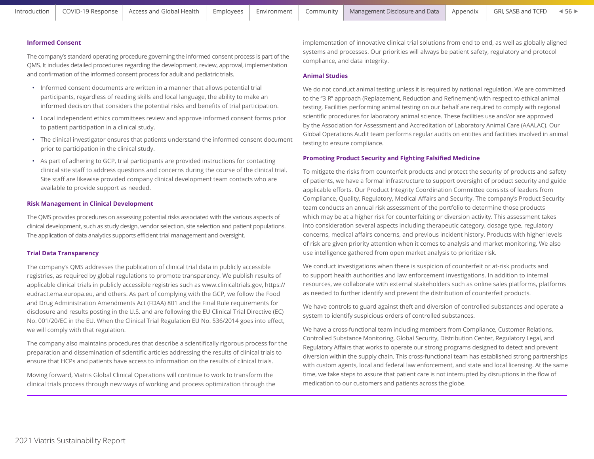## **Informed Consent**

The company's standard operating procedure governing the informed consent process is part of the QMS. It includes detailed procedures regarding the development, review, approval, implementation and confirmation of the informed consent process for adult and pediatric trials.

- Informed consent documents are written in a manner that allows potential trial participants, regardless of reading skills and local language, the ability to make an informed decision that considers the potential risks and benefits of trial participation.
- Local independent ethics committees review and approve informed consent forms prior to patient participation in a clinical study.
- The clinical investigator ensures that patients understand the informed consent document prior to participation in the clinical study.
- As part of adhering to GCP, trial participants are provided instructions for contacting clinical site staff to address questions and concerns during the course of the clinical trial. Site staff are likewise provided company clinical development team contacts who are available to provide support as needed.

#### **Risk Management in Clinical Development**

The QMS provides procedures on assessing potential risks associated with the various aspects of clinical development, such as study design, vendor selection, site selection and patient populations. The application of data analytics supports efficient trial management and oversight.

### **Trial Data Transparency**

The company's QMS addresses the publication of clinical trial data in publicly accessible registries, as required by global regulations to promote transparency. We publish results of applicable clinical trials in publicly accessible registries such as www.clinicaltrials.gov, https:// eudract.ema.europa.eu, and others. As part of complying with the GCP, we follow the Food and Drug Administration Amendments Act (FDAA) 801 and the Final Rule requirements for disclosure and results posting in the U.S. and are following the EU Clinical Trial Directive (EC) No. 001/20/EC in the EU. When the Clinical Trial Regulation EU No. 536/2014 goes into effect, we will comply with that regulation.

The company also maintains procedures that describe a scientifically rigorous process for the preparation and dissemination of scientific articles addressing the results of clinical trials to ensure that HCPs and patients have access to information on the results of clinical trials.

Moving forward, Viatris Global Clinical Operations will continue to work to transform the clinical trials process through new ways of working and process optimization through the implementation of innovative clinical trial solutions from end to end, as well as globally aligned systems and processes. Our priorities will always be patient safety, regulatory and protocol compliance, and data integrity.

### **Animal Studies**

We do not conduct animal testing unless it is required by national regulation. We are committed to the "3 R" approach (Replacement, Reduction and Refinement) with respect to ethical animal testing. Facilities performing animal testing on our behalf are required to comply with regional scientific procedures for laboratory animal science. These facilities use and/or are approved by the Association for Assessment and Accreditation of Laboratory Animal Care (AAALAC). Our Global Operations Audit team performs regular audits on entities and facilities involved in animal testing to ensure compliance.

#### **Promoting Product Security and Fighting Falsified Medicine**

To mitigate the risks from counterfeit products and protect the security of products and safety of patients, we have a formal infrastructure to support oversight of product security and guide applicable efforts. Our Product Integrity Coordination Committee consists of leaders from Compliance, Quality, Regulatory, Medical Affairs and Security. The company's Product Security team conducts an annual risk assessment of the portfolio to determine those products which may be at a higher risk for counterfeiting or diversion activity. This assessment takes into consideration several aspects including therapeutic category, dosage type, regulatory concerns, medical affairs concerns, and previous incident history. Products with higher levels of risk are given priority attention when it comes to analysis and market monitoring. We also use intelligence gathered from open market analysis to prioritize risk.

We conduct investigations when there is suspicion of counterfeit or at-risk products and to support health authorities and law enforcement investigations. In addition to internal resources, we collaborate with external stakeholders such as online sales platforms, platforms as needed to further identify and prevent the distribution of counterfeit products.

We have controls to guard against theft and diversion of controlled substances and operate a system to identify suspicious orders of controlled substances.

We have a cross-functional team including members from Compliance, Customer Relations, Controlled Substance Monitoring, Global Security, Distribution Center, Regulatory Legal, and Regulatory Affairs that works to operate our strong programs designed to detect and prevent diversion within the supply chain. This cross-functional team has established strong partnerships with custom agents, local and federal law enforcement, and state and local licensing. At the same time, we take steps to assure that patient care is not interrupted by disruptions in the flow of medication to our customers and patients across the globe.